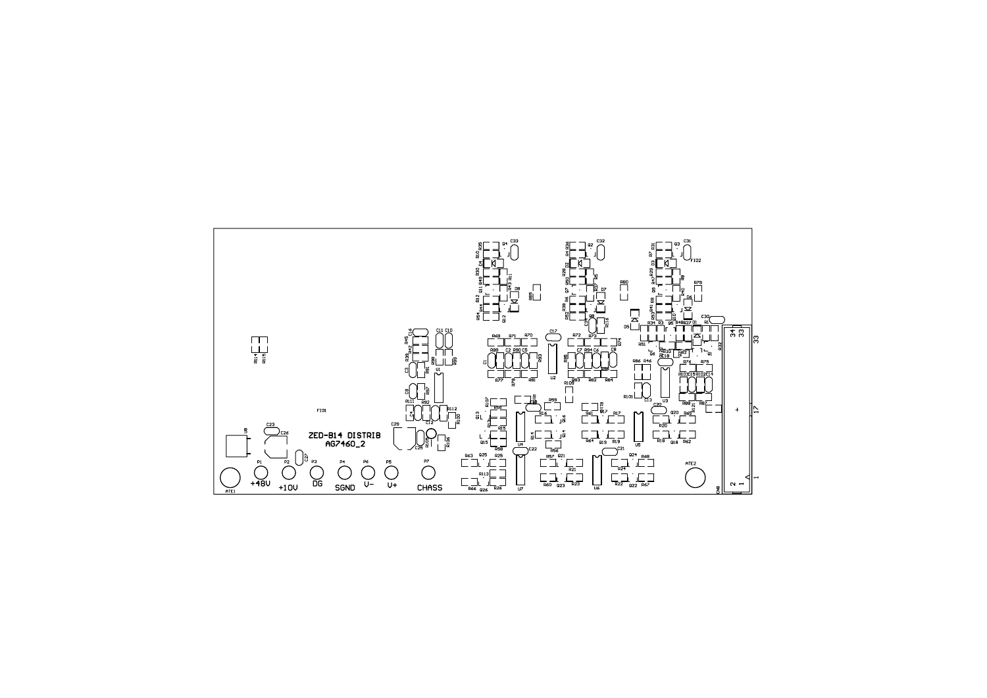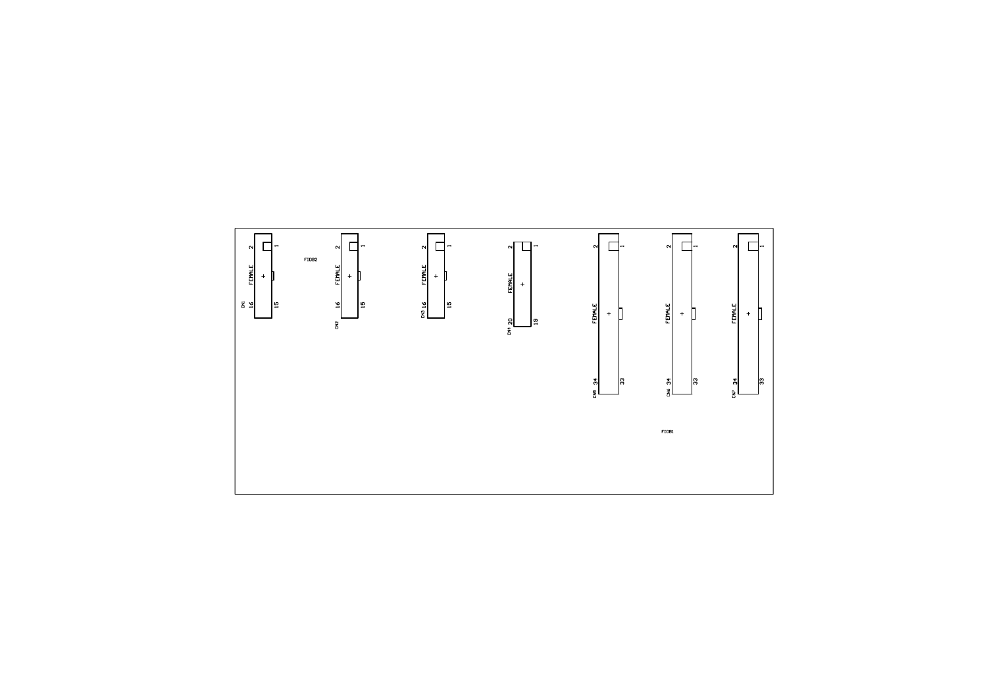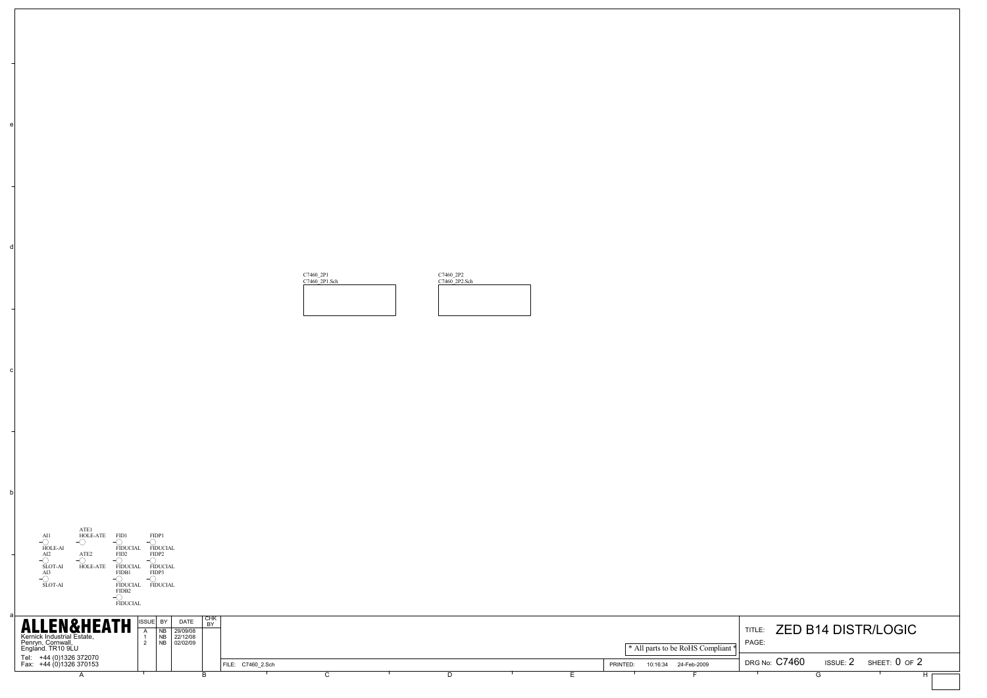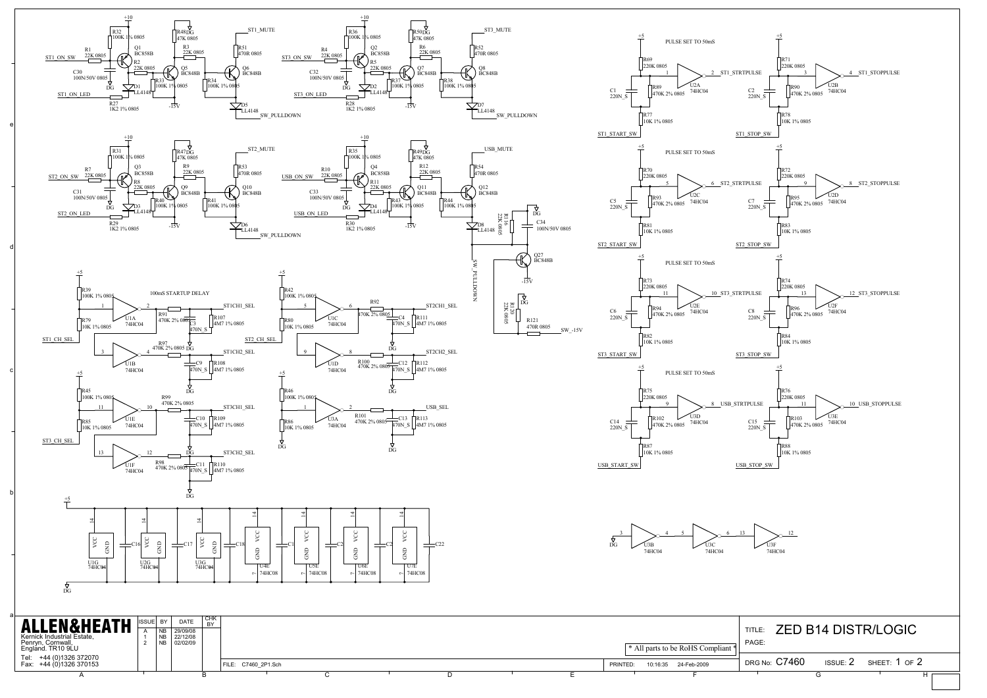